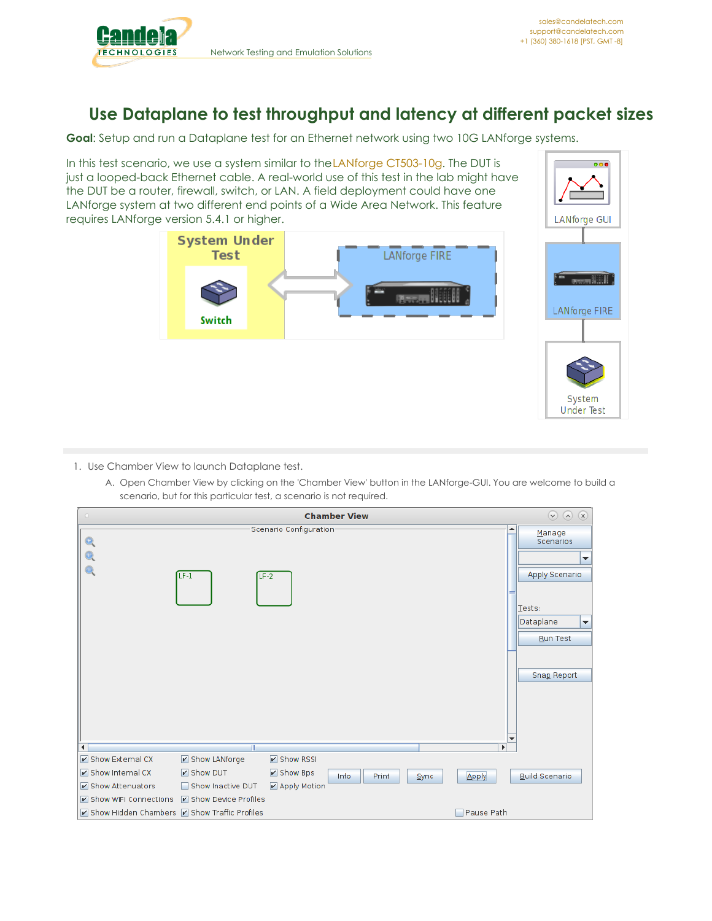

**Under Test** 

## **Use Dataplane to test throughput and latency at different packet sizes**

**Goal**: Setup and run a Dataplane test for an Ethernet network using two 10G LANforge systems.

In this test scenario, we use a system similar to the LANforge [CT503-10g](http://www.candelatech.com/ct503-10G_product.php). The DUT is just a looped-back Ethernet cable. A real-world use of this test in the lab might have the DUT be a router, firewall, switch, or LAN. A field deployment could have one LANforge system at two different end points of a Wide Area Network. This feature requires LANforge version 5.4.1 or higher.



- 1. Use Chamber View to launch Dataplane test.
	- A. Open Chamber View by clicking on the 'Chamber View' button in the LANforge-GUI. You are welcome to build a scenario, but for this particular test, a scenario is not required.

| <b>Chamber View</b><br>$\circ$                 |                           |                            |               |      |                          |                                                                                                                                             |
|------------------------------------------------|---------------------------|----------------------------|---------------|------|--------------------------|---------------------------------------------------------------------------------------------------------------------------------------------|
|                                                | $LF-1$<br>$LF-2$          | Scenario Configuration-    |               |      | $\overline{\phantom{a}}$ | Manage<br>Scenarios<br>$\overline{\phantom{a}}$<br>Apply Scenario<br>Tests:<br>Dataplane<br>$\blacktriangledown$<br>Run Test<br>Snap Report |
| $\blacktriangleleft$                           | Ш                         |                            |               |      | $\mathbf{r}$             |                                                                                                                                             |
| Show External CX                               | ☑ Show LANforge           | $\triangleright$ Show RSSI |               |      |                          |                                                                                                                                             |
| Show Internal CX                               | $\triangleright$ Show DUT | $\triangleright$ Show Bps  | Info<br>Print | Sync | Apply                    | <b>Build Scenario</b>                                                                                                                       |
| Show Attenuators                               | Show Inactive DUT         | ■ Apply Motion             |               |      |                          |                                                                                                                                             |
| Show WiFi Connections                          | Show Device Profiles      |                            |               |      |                          |                                                                                                                                             |
| ☑ Show Hidden Chambers ☑ Show Traffic Profiles |                           |                            |               |      | Pause Path               |                                                                                                                                             |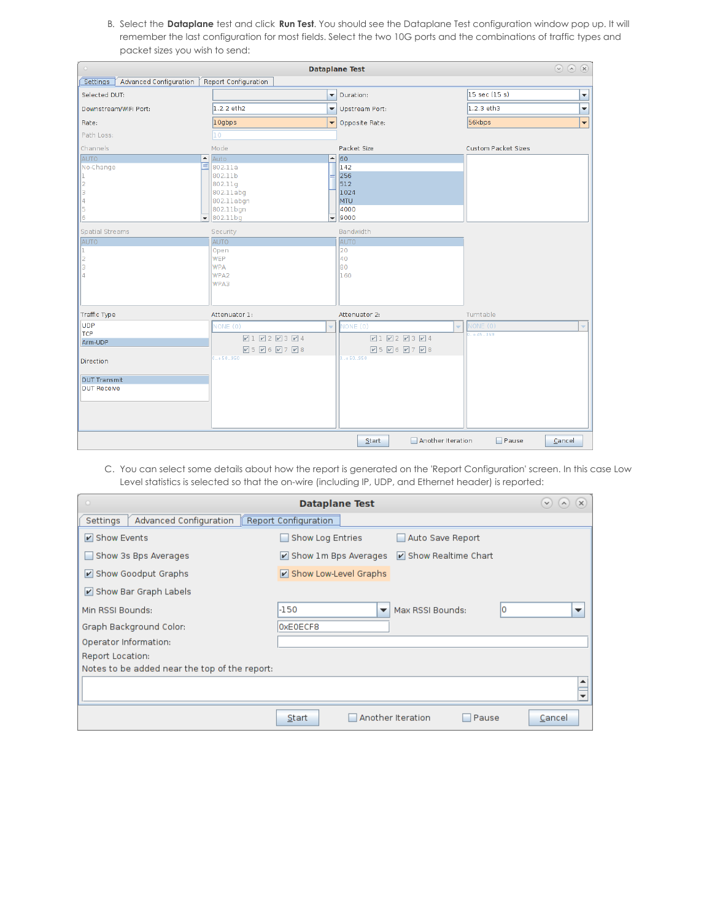B. Select the **Dataplane** test and click **Run Test**. You should see the Dataplane Test configuration window pop up. It will remember the last configuration for most fields. Select the two 10G ports and the combinations of traffic types and packet sizes you wish to send:

| <b>Dataplane Test</b>                                                                                   |                               |                                                                                                                                                                                                                             |                         |                          |                                                                                                                         | $\odot \odot \odot \odot$ |                            |                          |
|---------------------------------------------------------------------------------------------------------|-------------------------------|-----------------------------------------------------------------------------------------------------------------------------------------------------------------------------------------------------------------------------|-------------------------|--------------------------|-------------------------------------------------------------------------------------------------------------------------|---------------------------|----------------------------|--------------------------|
| Settings                                                                                                | <b>Advanced Configuration</b> | Report Configuration                                                                                                                                                                                                        |                         |                          |                                                                                                                         |                           |                            |                          |
| Selected DUT:                                                                                           |                               |                                                                                                                                                                                                                             |                         | $\overline{\phantom{0}}$ | Duration:                                                                                                               |                           | $15$ sec (15 s)            | $\overline{\phantom{a}}$ |
| Downstream/WiFi Port:                                                                                   |                               | 1.2.2 eth2                                                                                                                                                                                                                  |                         | ٠                        | <b>Upstream Port:</b>                                                                                                   |                           | $1.2.3$ eth3               | $\overline{\phantom{a}}$ |
| Rate:                                                                                                   |                               | 10gbps                                                                                                                                                                                                                      |                         | $\overline{\phantom{a}}$ | Opposite Rate:                                                                                                          |                           | 56kbps                     | $\overline{\phantom{0}}$ |
| Path Loss:                                                                                              |                               | $ 10\rangle$                                                                                                                                                                                                                |                         |                          |                                                                                                                         |                           |                            |                          |
| Channels                                                                                                |                               | Mode                                                                                                                                                                                                                        |                         |                          | Packet Size                                                                                                             |                           | <b>Custom Packet Sizes</b> |                          |
| AUTO<br>No-Change<br>2<br>$\vert$ 3<br> 4<br>¶5<br>16<br>Spatial Streams<br>AUTO<br>h.<br>2<br>lз<br>l4 |                               | ◚<br>Auto<br>$\equiv$<br>802.11a<br>802.11b<br> 802.11q<br>802.11abg<br>802.11abgn<br>802.11bgn<br>$\overline{\bullet}$ 802.11bg<br>Security<br><b>AUTO</b><br>Open<br><b>WEP</b><br><b>WPA</b><br>WPA <sub>2</sub><br>WPA3 |                         | $\overline{\phantom{a}}$ | $- 60$<br>142<br>256<br>512<br>1024<br><b>MTU</b><br>4000<br>9000<br>Bandwidth<br><b>AUTO</b><br>20<br>40<br>lso<br>160 |                           |                            |                          |
| Traffic Type                                                                                            |                               | Attenuator 1:                                                                                                                                                                                                               |                         |                          | Attenuator 2:                                                                                                           |                           | Turntable                  |                          |
| UDP<br>TCP<br>Arm-UDP<br>Direction<br><b>DUT Transmit</b><br><b>DUT Receive</b>                         |                               | NONE (0)<br>$-. + 50.950$                                                                                                                                                                                                   | $2122324$<br>$25060708$ |                          | NONE (0)<br>$21 2 2 3 2 4$<br>$95060708$<br>0.450.950                                                                   |                           | NONE (0)<br>$0. + 45.359$  |                          |
|                                                                                                         |                               |                                                                                                                                                                                                                             |                         |                          | Start                                                                                                                   | Another Iteration         | $\Box$ Pause               | Cancel                   |

C. You can select some details about how the report is generated on the 'Report Configuration' screen. In this case Low Level statistics is selected so that the on-wire (including IP, UDP, and Ethernet header) is reported:

| $\circ$<br><b>Dataplane Test</b>              |                                       |                            |                                |  |  |  |  |
|-----------------------------------------------|---------------------------------------|----------------------------|--------------------------------|--|--|--|--|
| Advanced Configuration<br>Settings            | Report Configuration                  |                            |                                |  |  |  |  |
| $\triangleright$ Show Events                  | Show Log Entries                      | Auto Save Report           |                                |  |  |  |  |
| Show 3s Bps Averages                          | $\triangleright$ Show 1m Bps Averages | Show Realtime Chart        |                                |  |  |  |  |
| Show Goodput Graphs                           | Show Low-Level Graphs                 |                            |                                |  |  |  |  |
| Show Bar Graph Labels                         |                                       |                            |                                |  |  |  |  |
| Min RSSI Bounds:                              | $-150$<br>$\overline{\phantom{a}}$    | Max RSSI Bounds:           | lo<br>$\overline{\phantom{a}}$ |  |  |  |  |
| Graph Background Color:                       | OxE0ECF8                              |                            |                                |  |  |  |  |
| Operator Information:                         |                                       |                            |                                |  |  |  |  |
| Report Location:                              |                                       |                            |                                |  |  |  |  |
| Notes to be added near the top of the report: |                                       |                            |                                |  |  |  |  |
|                                               |                                       |                            | ┻                              |  |  |  |  |
|                                               |                                       |                            |                                |  |  |  |  |
|                                               | Start                                 | Another Iteration<br>Pause | Cancel                         |  |  |  |  |